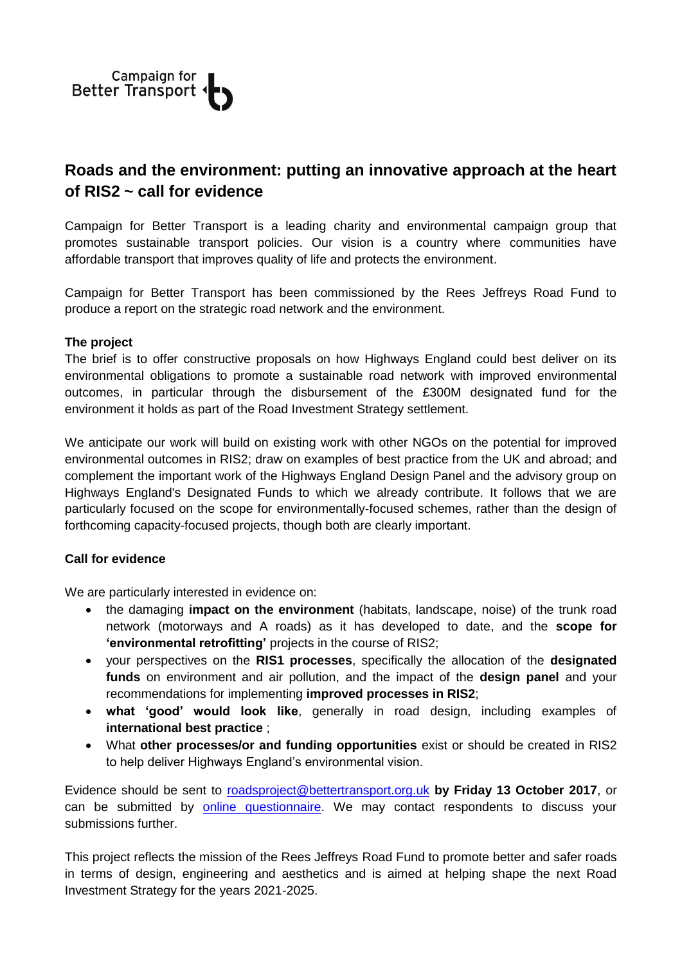

## **Roads and the environment: putting an innovative approach at the heart of RIS2 ~ call for evidence**

Campaign for Better Transport is a leading charity and environmental campaign group that promotes sustainable transport policies. Our vision is a country where communities have affordable transport that improves quality of life and protects the environment.

Campaign for Better Transport has been commissioned by the Rees Jeffreys Road Fund to produce a report on the strategic road network and the environment.

## **The project**

The brief is to offer constructive proposals on how Highways England could best deliver on its environmental obligations to promote a sustainable road network with improved environmental outcomes, in particular through the disbursement of the £300M designated fund for the environment it holds as part of the Road Investment Strategy settlement.

We anticipate our work will build on existing work with other NGOs on the potential for improved environmental outcomes in RIS2; draw on examples of best practice from the UK and abroad; and complement the important work of the Highways England Design Panel and the advisory group on Highways England's Designated Funds to which we already contribute. It follows that we are particularly focused on the scope for environmentally-focused schemes, rather than the design of forthcoming capacity-focused projects, though both are clearly important.

## **Call for evidence**

We are particularly interested in evidence on:

- the damaging **impact on the environment** (habitats, landscape, noise) of the trunk road network (motorways and A roads) as it has developed to date, and the **scope for 'environmental retrofitting'** projects in the course of RIS2;
- your perspectives on the **RIS1 processes**, specifically the allocation of the **designated funds** on environment and air pollution, and the impact of the **design panel** and your recommendations for implementing **improved processes in RIS2**;
- **what 'good' would look like**, generally in road design, including examples of **international best practice** ;
- What **other processes/or and funding opportunities** exist or should be created in RIS2 to help deliver Highways England's environmental vision.

Evidence should be sent to [roadsproject@bettertransport.org.uk](mailto:roadsproject@bettertransport.org.uk) **by Friday 13 October 2017**, or can be submitted by [online questionnaire.](https://www.surveymonkey.co.uk/r/RJroadsproject) We may contact respondents to discuss your submissions further.

This project reflects the mission of the Rees Jeffreys Road Fund to promote better and safer roads in terms of design, engineering and aesthetics and is aimed at helping shape the next Road Investment Strategy for the years 2021-2025.